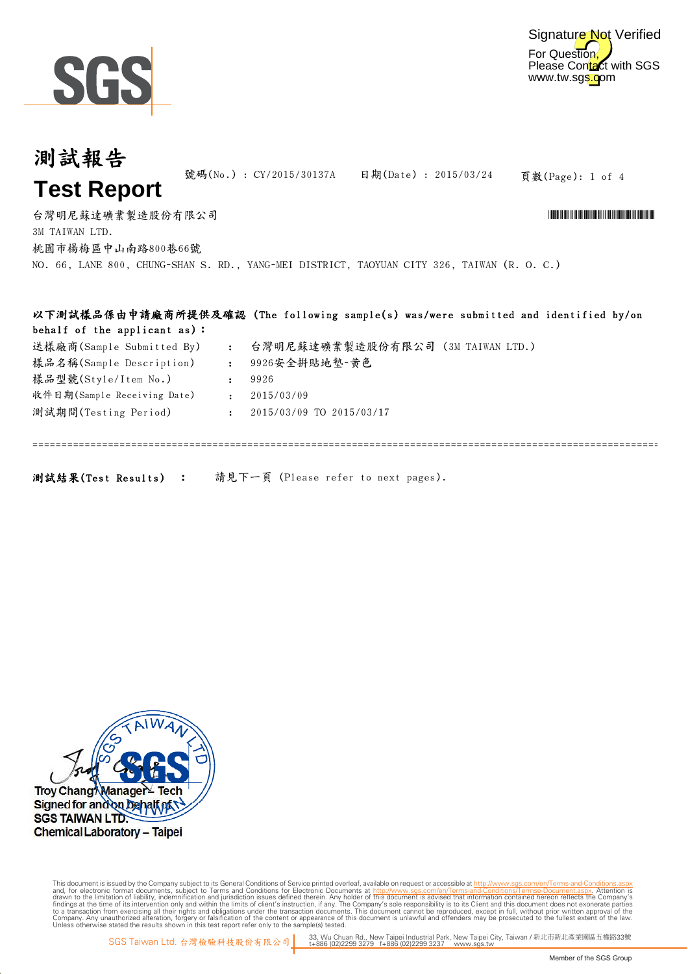

=============================================================================================================================

## 頁數(Page): 1 of 4 台灣明尼蘇達礦業製造股份有限公司 \*CY/2015/30137A\* 號碼(No.) : CY/2015/30137A 日期(Date) : 2015/03/24 3M TAIWAN LTD. 測試報告 **Test Report** 桃園市楊梅區中山南路800巷66號 NO. 66, LANE 800, CHUNG-SHAN S. RD., YANG-MEI DISTRICT, TAOYUAN CITY 326, TAIWAN (R. O. C.) 以下測試樣品係由申請廠商所提供及確認 (The following sample(s) was/were submitted and identified by/on behalf of the applicant as):

| 送樣廠商(Sample Submitted By)   | $\sim 100$   | 台灣明尼蘇達礦業製造股份有限公司 (3M TAIWAN LTD.) |
|-----------------------------|--------------|-----------------------------------|
| 樣品名稱(Sample Description)    | $\mathbf{r}$ | 9926安全拼貼地墊-黃色                     |
| 樣品型號(Style/Item No.)        |              | 9926                              |
| 收件日期(Sample Receiving Date) | $\mathbf{r}$ | 2015/03/09                        |
| 測試期間(Testing Period)        |              | 2015/03/09 TO 2015/03/17          |
|                             |              |                                   |

測試結果(Test Results) : 請見下一頁 (Please refer to next pages).



Digitally signed by www.wmholetech.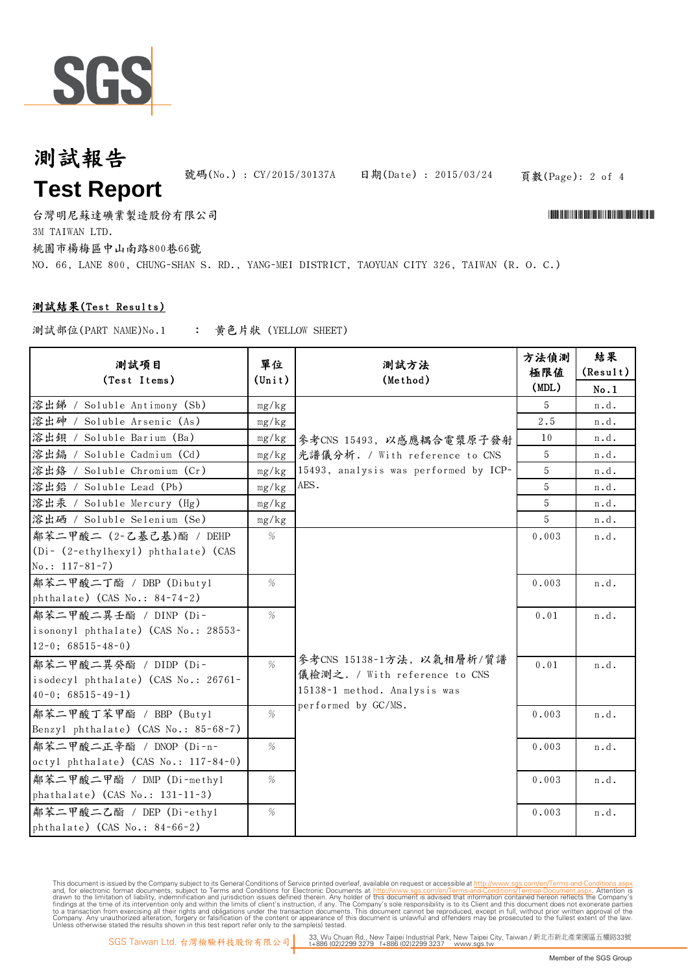

## 測試報告 **Test Report**

號碼(No.): CY/2015/30137A 日期(Date): 2015/03/24

頁數(Page): 2 of 4

台灣明尼蘇達礦業製造股份有限公司 \*CY/2015/30137A\* 3M TAIWAN LTD. 桃園市楊梅區中山南路800巷66號 NO. 66, LANE 800, CHUNG-SHAN S. RD., YANG-MEI DISTRICT, TAOYUAN CITY 326, TAIWAN (R. O. C.)

#### 測試結果(Test Results)

: 黃色片狀 (YELLOW SHEET) 測試部位(PART NAME)No.1

| 測試項目<br>(Test Items)                 | 單位<br>$(\text{Unit})$ | 測試方法<br>(Method)                      | 方法偵測<br>極限値<br>(MDL) | 結果<br>(Result)<br>No.1 |
|--------------------------------------|-----------------------|---------------------------------------|----------------------|------------------------|
| 溶出锑 / Soluble Antimony (Sb)          | mg/kg                 |                                       | 5                    | n.d.                   |
| 溶出砷 / Soluble Arsenic (As)           | mg/kg                 |                                       | 2.5                  | n.d.                   |
| 溶出鋇 / Soluble Barium (Ba)            | mg/kg                 | 參考CNS 15493, 以感應耦合電漿原子發射              | 10                   | n.d.                   |
| 溶出编 / Soluble Cadmium (Cd)           | mg/kg                 | 光譜儀分析. / With reference to CNS        | 5                    | n.d.                   |
| 溶出鉻 / Soluble Chromium (Cr)          | mg/kg                 | 15493, analysis was performed by ICP- | 5                    | n.d.                   |
| 溶出鉛 / Soluble Lead (Pb)              | mg/kg                 | AES.                                  | 5                    | n.d.                   |
| 溶出汞 / Soluble Mercury (Hg)           | mg/kg                 |                                       | 5                    | n.d.                   |
| 溶出硒 / Soluble Selenium (Se)          | mg/kg                 |                                       | 5                    | n.d.                   |
| 鄰苯二甲酸二 (2-乙基己基)酯 / DEHP              | %                     |                                       | 0.003                | n.d.                   |
| (Di- (2-ethylhexyl) phthalate) (CAS  |                       |                                       |                      |                        |
| $No.: 117-81-7)$                     |                       |                                       |                      |                        |
| 鄰苯二甲酸二丁酯 / DBP (Dibutyl              | %                     |                                       | 0.003                | n.d.                   |
| phthalate) (CAS No.: 84-74-2)        |                       |                                       |                      |                        |
| 鄰苯二甲酸二異壬酯 / DINP (Di-                | %                     |                                       | 0.01                 | n.d.                   |
| isononyl phthalate) (CAS No.: 28553- |                       |                                       |                      |                        |
| $12-0$ ; 68515-48-0)                 |                       |                                       |                      |                        |
| 鄰苯二甲酸二異癸酯 / DIDP (Di-                | $\%$                  | 參考CNS 15138-1方法, 以氣相層析/質譜             | 0.01                 | n.d.                   |
| isodecyl phthalate) (CAS No.: 26761- |                       | 儀檢測之. / With reference to CNS         |                      |                        |
| $40-0$ ; $68515-49-1$ )              |                       | 15138-1 method. Analysis was          |                      |                        |
| 鄰苯二甲酸丁苯甲酯 / BBP (Butyl               | %                     | performed by GC/MS.                   | 0.003                | n.d.                   |
| Benzyl phthalate) (CAS No.: 85-68-7) |                       |                                       |                      |                        |
| 鄰苯二甲酸二正辛酯 / DNOP (Di-n-              | %                     |                                       | 0.003                | n.d.                   |
| octyl phthalate) (CAS No.: 117-84-0) |                       |                                       |                      |                        |
| 鄰苯二甲酸二甲酯 / DMP (Di-methyl            | %                     |                                       | 0.003                | n.d.                   |
| phathalate) (CAS No.: 131-11-3)      |                       |                                       |                      |                        |
| 鄰苯二甲酸二乙酯 / DEP (Di-ethyl             | %                     |                                       | 0.003                | n.d.                   |
| phthalate) (CAS No.: 84-66-2)        |                       |                                       |                      |                        |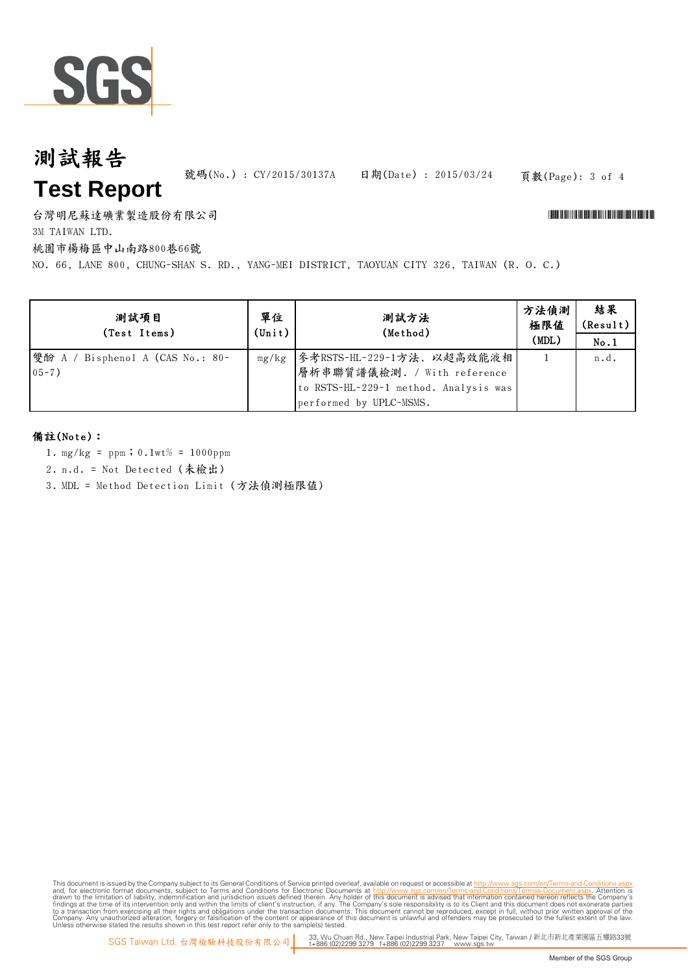

# 測試報告 **Test Report**

號碼(No.) : CY/2015/30137A 日期(Date) : 2015/03/24

#### 頁數(Page): 3 of 4

台灣明尼蘇達礦業製造股份有限公司 \*CY/2015/30137A\*

3M TAIWAN LTD.

桃園市楊梅區中山南路800巷66號

NO. 66, LANE 800, CHUNG-SHAN S. RD., YANG-MEI DISTRICT, TAOYUAN CITY 326, TAIWAN (R. O. C.)

| 測試項目<br>(Test Items)                          | 單位<br>$(\text{Unit})$ | 測試方法<br>(Method)                                                                                                               | 方法偵測<br>極限値<br>(MDL) | 結果<br>(Result)<br>No.1 |
|-----------------------------------------------|-----------------------|--------------------------------------------------------------------------------------------------------------------------------|----------------------|------------------------|
| 雙酚 A / Bisphenol A (CAS No.: 80-<br>$05 - 7)$ | mg/kg                 | 参考RSTS-HL-229-1方法, 以超高效能液相<br> 層析串聯質譜儀檢測. / With reference<br>to RSTS-HL-229-1 method. Analysis was<br>performed by UPLC-MSMS. |                      | n.d.                   |

#### 備註(Note):

- 1. mg/kg = ppm;0.1wt% = 1000ppm
- 2. n.d. = Not Detected (未檢出)
- 3. MDL = Method Detection Limit (方法偵測極限值)